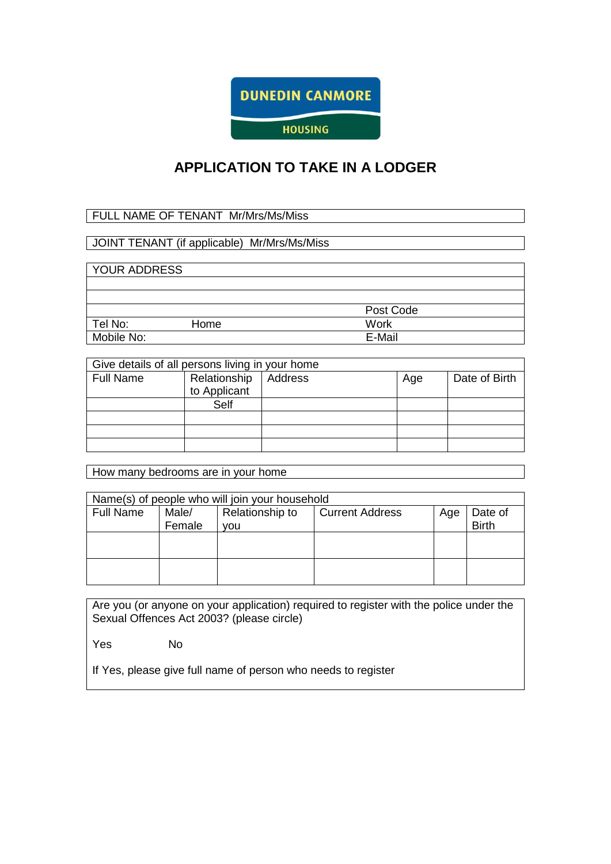

# **APPLICATION TO TAKE IN A LODGER**

## FULL NAME OF TENANT Mr/Mrs/Ms/Miss

## JOINT TENANT (if applicable) Mr/Mrs/Ms/Miss

## YOUR ADDRESS

|            |      | Post Code |
|------------|------|-----------|
| Tel No:    | Home | Work      |
| Mobile No: |      | E-Mail    |

| Give details of all persons living in your home |                              |         |     |               |  |
|-------------------------------------------------|------------------------------|---------|-----|---------------|--|
| <b>Full Name</b>                                | Relationship<br>to Applicant | Address | Age | Date of Birth |  |
|                                                 | Self                         |         |     |               |  |
|                                                 |                              |         |     |               |  |
|                                                 |                              |         |     |               |  |
|                                                 |                              |         |     |               |  |

How many bedrooms are in your home

| Name(s) of people who will join your household |        |                 |                        |     |              |
|------------------------------------------------|--------|-----------------|------------------------|-----|--------------|
| <b>Full Name</b>                               | Male/  | Relationship to | <b>Current Address</b> | Age | Date of      |
|                                                | Female | vou             |                        |     | <b>Birth</b> |
|                                                |        |                 |                        |     |              |
|                                                |        |                 |                        |     |              |
|                                                |        |                 |                        |     |              |
|                                                |        |                 |                        |     |              |
|                                                |        |                 |                        |     |              |
|                                                |        |                 |                        |     |              |

Are you (or anyone on your application) required to register with the police under the Sexual Offences Act 2003? (please circle)

Yes No

If Yes, please give full name of person who needs to register